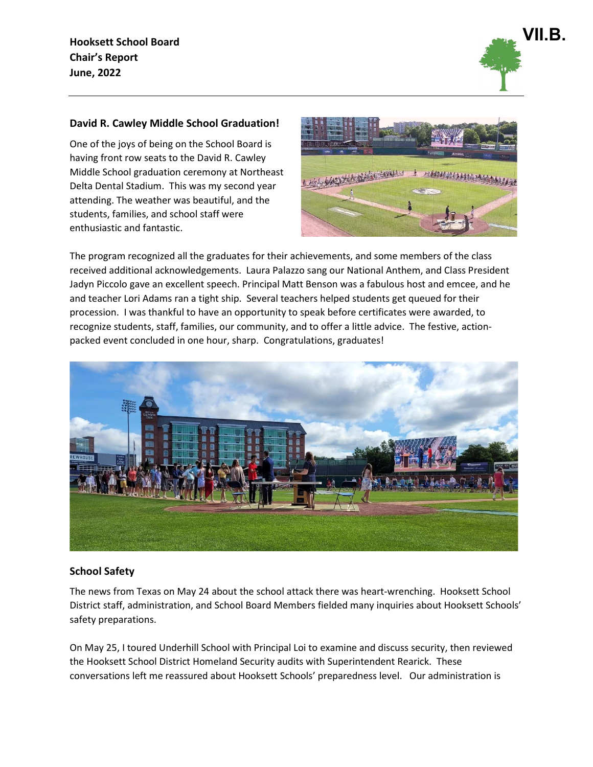Hooksett School Board Chair's Report June, 2022



# David R. Cawley Middle School Graduation!

One of the joys of being on the School Board is having front row seats to the David R. Cawley Middle School graduation ceremony at Northeast Delta Dental Stadium. This was my second year attending. The weather was beautiful, and the students, families, and school staff were enthusiastic and fantastic.



The program recognized all the graduates for their achievements, and some members of the class received additional acknowledgements. Laura Palazzo sang our National Anthem, and Class President Jadyn Piccolo gave an excellent speech. Principal Matt Benson was a fabulous host and emcee, and he and teacher Lori Adams ran a tight ship. Several teachers helped students get queued for their procession. I was thankful to have an opportunity to speak before certificates were awarded, to recognize students, staff, families, our community, and to offer a little advice. The festive, actionpacked event concluded in one hour, sharp. Congratulations, graduates!



## School Safety

The news from Texas on May 24 about the school attack there was heart-wrenching. Hooksett School District staff, administration, and School Board Members fielded many inquiries about Hooksett Schools' safety preparations.

On May 25, I toured Underhill School with Principal Loi to examine and discuss security, then reviewed the Hooksett School District Homeland Security audits with Superintendent Rearick. These conversations left me reassured about Hooksett Schools' preparedness level. Our administration is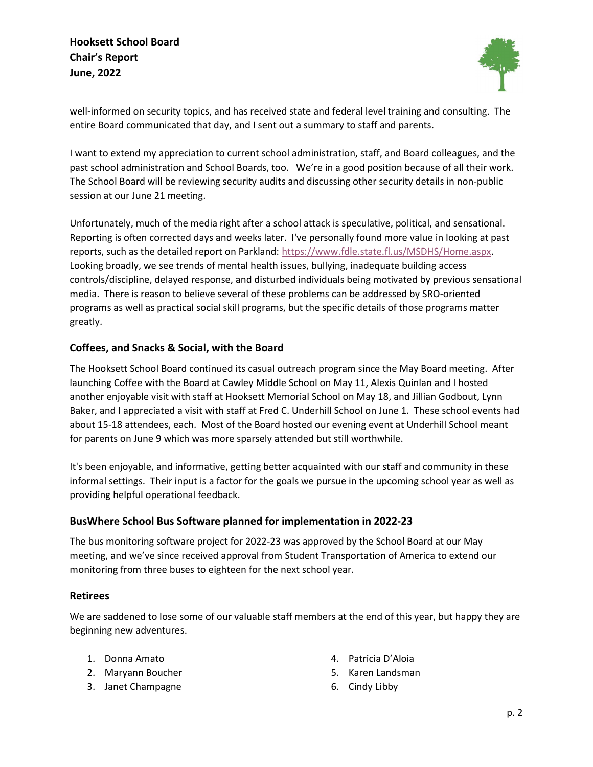

well-informed on security topics, and has received state and federal level training and consulting. The entire Board communicated that day, and I sent out a summary to staff and parents.

I want to extend my appreciation to current school administration, staff, and Board colleagues, and the past school administration and School Boards, too. We're in a good position because of all their work. The School Board will be reviewing security audits and discussing other security details in non-public session at our June 21 meeting.

Unfortunately, much of the media right after a school attack is speculative, political, and sensational. Reporting is often corrected days and weeks later. I've personally found more value in looking at past reports, such as the detailed report on Parkland: https://www.fdle.state.fl.us/MSDHS/Home.aspx. Looking broadly, we see trends of mental health issues, bullying, inadequate building access controls/discipline, delayed response, and disturbed individuals being motivated by previous sensational media. There is reason to believe several of these problems can be addressed by SRO-oriented programs as well as practical social skill programs, but the specific details of those programs matter greatly.

## Coffees, and Snacks & Social, with the Board

The Hooksett School Board continued its casual outreach program since the May Board meeting. After launching Coffee with the Board at Cawley Middle School on May 11, Alexis Quinlan and I hosted another enjoyable visit with staff at Hooksett Memorial School on May 18, and Jillian Godbout, Lynn Baker, and I appreciated a visit with staff at Fred C. Underhill School on June 1. These school events had about 15-18 attendees, each. Most of the Board hosted our evening event at Underhill School meant for parents on June 9 which was more sparsely attended but still worthwhile.

It's been enjoyable, and informative, getting better acquainted with our staff and community in these informal settings. Their input is a factor for the goals we pursue in the upcoming school year as well as providing helpful operational feedback.

## BusWhere School Bus Software planned for implementation in 2022-23

The bus monitoring software project for 2022-23 was approved by the School Board at our May meeting, and we've since received approval from Student Transportation of America to extend our monitoring from three buses to eighteen for the next school year.

### Retirees

We are saddened to lose some of our valuable staff members at the end of this year, but happy they are beginning new adventures.

- 1. Donna Amato
- 2. Maryann Boucher
- 3. Janet Champagne
- 4. Patricia D'Aloia
- 5. Karen Landsman
- 6. Cindy Libby